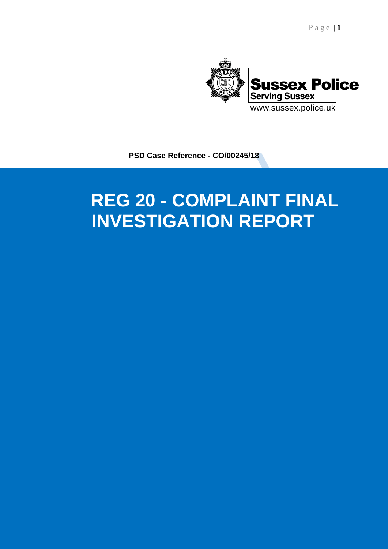

**PSD Case Reference - CO/00245/18**

# <u>EDADT</u> **INVESTIGATION REPORT REG 20 - COMPLAINT FINAL**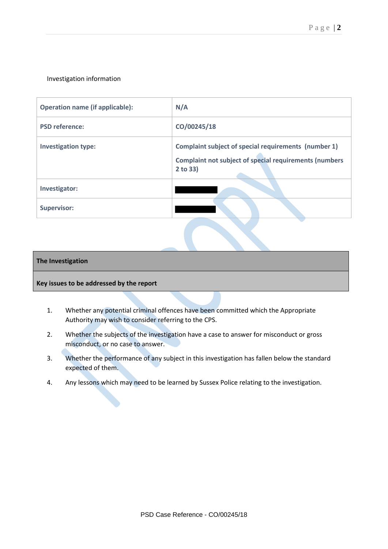## Investigation information

| <b>Operation name (if applicable):</b> | N/A                                                                                                                               |
|----------------------------------------|-----------------------------------------------------------------------------------------------------------------------------------|
| <b>PSD reference:</b>                  | CO/00245/18                                                                                                                       |
| <b>Investigation type:</b>             | Complaint subject of special requirements (number 1)<br><b>Complaint not subject of special requirements (numbers</b><br>2 to 33) |
| Investigator:                          |                                                                                                                                   |
| <b>Supervisor:</b>                     |                                                                                                                                   |

#### **The Investigation**

#### **Key issues to be addressed by the report**

- 1. Whether any potential criminal offences have been committed which the Appropriate Authority may wish to consider referring to the CPS.
- 2. Whether the subjects of the investigation have a case to answer for misconduct or gross misconduct, or no case to answer.
- 3. Whether the performance of any subject in this investigation has fallen below the standard expected of them.
- 4. Any lessons which may need to be learned by Sussex Police relating to the investigation.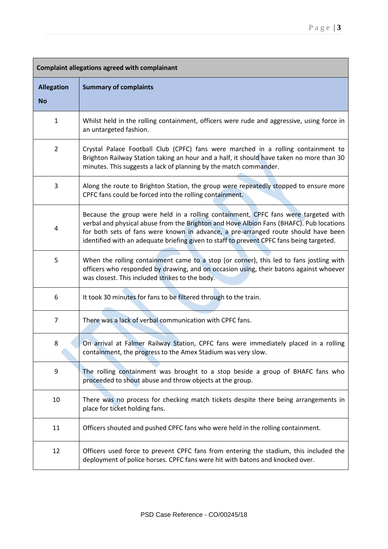| <b>Complaint allegations agreed with complainant</b> |                                                                                                                                                                                                                                                                                                                                                                 |
|------------------------------------------------------|-----------------------------------------------------------------------------------------------------------------------------------------------------------------------------------------------------------------------------------------------------------------------------------------------------------------------------------------------------------------|
| <b>Allegation</b><br><b>No</b>                       | <b>Summary of complaints</b>                                                                                                                                                                                                                                                                                                                                    |
| $\mathbf{1}$                                         | Whilst held in the rolling containment, officers were rude and aggressive, using force in<br>an untargeted fashion.                                                                                                                                                                                                                                             |
| $\overline{2}$                                       | Crystal Palace Football Club (CPFC) fans were marched in a rolling containment to<br>Brighton Railway Station taking an hour and a half, it should have taken no more than 30<br>minutes. This suggests a lack of planning by the match commander.                                                                                                              |
| 3                                                    | Along the route to Brighton Station, the group were repeatedly stopped to ensure more<br>CPFC fans could be forced into the rolling containment.                                                                                                                                                                                                                |
| 4                                                    | Because the group were held in a rolling containment, CPFC fans were targeted with<br>verbal and physical abuse from the Brighton and Hove Albion Fans (BHAFC). Pub locations<br>for both sets of fans were known in advance, a pre-arranged route should have been<br>identified with an adequate briefing given to staff to prevent CPFC fans being targeted. |
| 5                                                    | When the rolling containment came to a stop (or corner), this led to fans jostling with<br>officers who responded by drawing, and on occasion using, their batons against whoever<br>was closest. This included strikes to the body.                                                                                                                            |
| 6                                                    | It took 30 minutes for fans to be filtered through to the train.                                                                                                                                                                                                                                                                                                |
| 7                                                    | There was a lack of verbal communication with CPFC fans.                                                                                                                                                                                                                                                                                                        |
| 8                                                    | On arrival at Falmer Railway Station, CPFC fans were immediately placed in a rolling<br>containment, the progress to the Amex Stadium was very slow.                                                                                                                                                                                                            |
| 9                                                    | The rolling containment was brought to a stop beside a group of BHAFC fans who<br>proceeded to shout abuse and throw objects at the group.                                                                                                                                                                                                                      |
| 10                                                   | There was no process for checking match tickets despite there being arrangements in<br>place for ticket holding fans.                                                                                                                                                                                                                                           |
| 11                                                   | Officers shouted and pushed CPFC fans who were held in the rolling containment.                                                                                                                                                                                                                                                                                 |
| 12                                                   | Officers used force to prevent CPFC fans from entering the stadium, this included the<br>deployment of police horses. CPFC fans were hit with batons and knocked over.                                                                                                                                                                                          |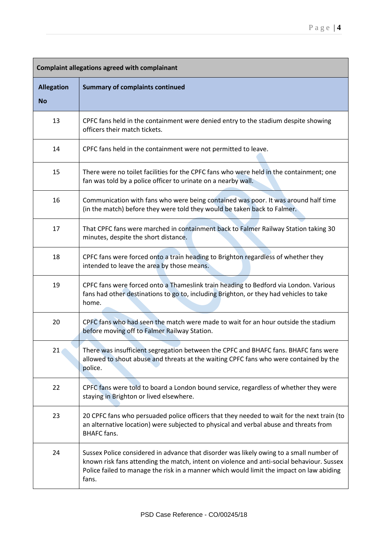| <b>Complaint allegations agreed with complainant</b> |                                                                                                                                                                                                                                                                                           |
|------------------------------------------------------|-------------------------------------------------------------------------------------------------------------------------------------------------------------------------------------------------------------------------------------------------------------------------------------------|
| <b>Allegation</b><br><b>No</b>                       | <b>Summary of complaints continued</b>                                                                                                                                                                                                                                                    |
| 13                                                   | CPFC fans held in the containment were denied entry to the stadium despite showing<br>officers their match tickets.                                                                                                                                                                       |
| 14                                                   | CPFC fans held in the containment were not permitted to leave.                                                                                                                                                                                                                            |
| 15                                                   | There were no toilet facilities for the CPFC fans who were held in the containment; one<br>fan was told by a police officer to urinate on a nearby wall.                                                                                                                                  |
| 16                                                   | Communication with fans who were being contained was poor. It was around half time<br>(in the match) before they were told they would be taken back to Falmer.                                                                                                                            |
| 17                                                   | That CPFC fans were marched in containment back to Falmer Railway Station taking 30<br>minutes, despite the short distance.                                                                                                                                                               |
| 18                                                   | CPFC fans were forced onto a train heading to Brighton regardless of whether they<br>intended to leave the area by those means.                                                                                                                                                           |
| 19                                                   | CPFC fans were forced onto a Thameslink train heading to Bedford via London. Various<br>fans had other destinations to go to, including Brighton, or they had vehicles to take<br>home.                                                                                                   |
| 20                                                   | CPFC fans who had seen the match were made to wait for an hour outside the stadium<br>before moving off to Falmer Railway Station.                                                                                                                                                        |
| 21                                                   | There was insufficient segregation between the CPFC and BHAFC fans. BHAFC fans were<br>allowed to shout abuse and threats at the waiting CPFC fans who were contained by the<br>police.                                                                                                   |
| 22                                                   | CPFC fans were told to board a London bound service, regardless of whether they were<br>staying in Brighton or lived elsewhere.                                                                                                                                                           |
| 23                                                   | 20 CPFC fans who persuaded police officers that they needed to wait for the next train (to<br>an alternative location) were subjected to physical and verbal abuse and threats from<br><b>BHAFC</b> fans.                                                                                 |
| 24                                                   | Sussex Police considered in advance that disorder was likely owing to a small number of<br>known risk fans attending the match, intent on violence and anti-social behaviour. Sussex<br>Police failed to manage the risk in a manner which would limit the impact on law abiding<br>fans. |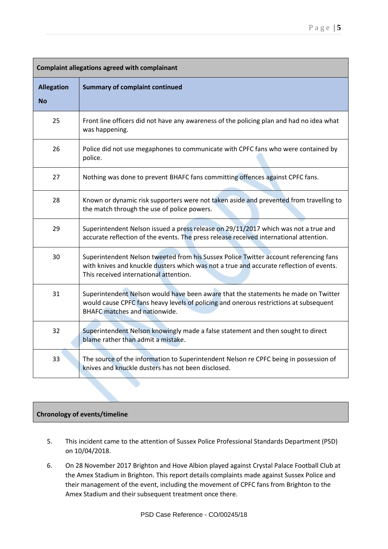| <b>Complaint allegations agreed with complainant</b> |                                                                                                                                                                                                                            |  |
|------------------------------------------------------|----------------------------------------------------------------------------------------------------------------------------------------------------------------------------------------------------------------------------|--|
| <b>Allegation</b><br><b>No</b>                       | <b>Summary of complaint continued</b>                                                                                                                                                                                      |  |
| 25                                                   | Front line officers did not have any awareness of the policing plan and had no idea what<br>was happening.                                                                                                                 |  |
| 26                                                   | Police did not use megaphones to communicate with CPFC fans who were contained by<br>police.                                                                                                                               |  |
| 27                                                   | Nothing was done to prevent BHAFC fans committing offences against CPFC fans.                                                                                                                                              |  |
| 28                                                   | Known or dynamic risk supporters were not taken aside and prevented from travelling to<br>the match through the use of police powers.                                                                                      |  |
| 29                                                   | Superintendent Nelson issued a press release on 29/11/2017 which was not a true and<br>accurate reflection of the events. The press release received international attention.                                              |  |
| 30                                                   | Superintendent Nelson tweeted from his Sussex Police Twitter account referencing fans<br>with knives and knuckle dusters which was not a true and accurate reflection of events.<br>This received international attention. |  |
| 31                                                   | Superintendent Nelson would have been aware that the statements he made on Twitter<br>would cause CPFC fans heavy levels of policing and onerous restrictions at subsequent<br><b>BHAFC</b> matches and nationwide.        |  |
| 32                                                   | Superintendent Nelson knowingly made a false statement and then sought to direct<br>blame rather than admit a mistake.                                                                                                     |  |
| 33                                                   | The source of the information to Superintendent Nelson re CPFC being in possession of<br>knives and knuckle dusters has not been disclosed.                                                                                |  |

## **Chronology of events/timeline**

- 5. This incident came to the attention of Sussex Police Professional Standards Department (PSD) on 10/04/2018.
- 6. On 28 November 2017 Brighton and Hove Albion played against Crystal Palace Football Club at the Amex Stadium in Brighton. This report details complaints made against Sussex Police and their management of the event, including the movement of CPFC fans from Brighton to the Amex Stadium and their subsequent treatment once there.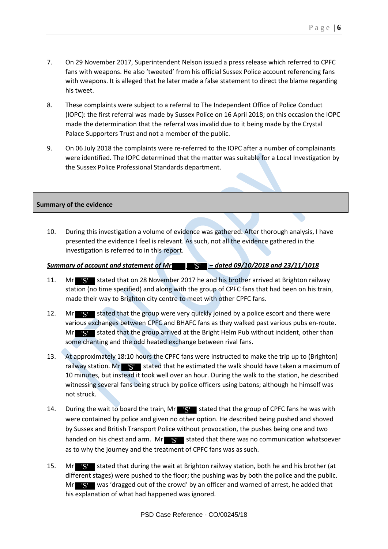- 7. On 29 November 2017, Superintendent Nelson issued a press release which referred to CPFC fans with weapons. He also 'tweeted' from his official Sussex Police account referencing fans with weapons. It is alleged that he later made a false statement to direct the blame regarding his tweet.
- 8. These complaints were subject to a referral to The Independent Office of Police Conduct (IOPC): the first referral was made by Sussex Police on 16 April 2018; on this occasion the IOPC made the determination that the referral was invalid due to it being made by the Crystal Palace Supporters Trust and not a member of the public.
- 9. On 06 July 2018 the complaints were re-referred to the IOPC after a number of complainants were identified. The IOPC determined that the matter was suitable for a Local Investigation by the Sussex Police Professional Standards department.

## **Summary of the evidence**

10. During this investigation a volume of evidence was gathered. After thorough analysis, I have presented the evidence I feel is relevant. As such, not all the evidence gathered in the investigation is referred to in this report.

# *Summary of account and statement of Mr – dated 09/10/2018 and 23/11/1018* 'S'

- 11. Mr S stated that on 28 November 2017 he and his brother arrived at Brighton railway station (no time specified) and along with the group of CPFC fans that had been on his train, made their way to Brighton city centre to meet with other CPFC fans.
- 12. Mr **S'** stated that the group were very quickly joined by a police escort and there were various exchanges between CPFC and BHAFC fans as they walked past various pubs en-route. Mr S stated that the group arrived at the Bright Helm Pub without incident, other than some chanting and the odd heated exchange between rival fans.
- 13. At approximately 18:10 hours the CPFC fans were instructed to make the trip up to (Brighton) railway station. Mr**ew Stated that he estimated the walk should have taken a maximum of** 10 minutes, but instead it took well over an hour. During the walk to the station, he described witnessing several fans being struck by police officers using batons; although he himself was not struck.
- 14. During the wait to board the train, Mr  $\mathbf{S}$  stated that the group of CPFC fans he was with were contained by police and given no other option. He described being pushed and shoved by Sussex and British Transport Police without provocation, the pushes being one and two handed on his chest and arm. Mr  $\mathbf{S}$  stated that there was no communication whatsoever as to why the journey and the treatment of CPFC fans was as such.
- 15. Mr Stated that during the wait at Brighton railway station, both he and his brother (at different stages) were pushed to the floor; the pushing was by both the police and the public. Mr S was 'dragged out of the crowd' by an officer and warned of arrest, he added that his explanation of what had happened was ignored.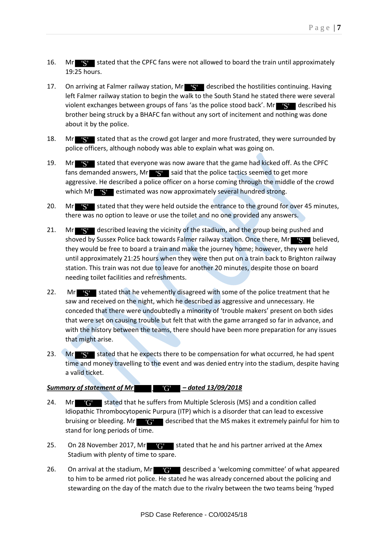- 16. Mr **S** stated that the CPFC fans were not allowed to board the train until approximately 19:25 hours.
- 17. On arriving at Falmer railway station, Mr **S** described the hostilities continuing. Having left Falmer railway station to begin the walk to the South Stand he stated there were several violent exchanges between groups of fans 'as the police stood back'. Mr**et gytt** described his brother being struck by a BHAFC fan without any sort of incitement and nothing was done about it by the police.
- 18. Mr **S** stated that as the crowd got larger and more frustrated, they were surrounded by police officers, although nobody was able to explain what was going on.
- 19. Mr **S** stated that everyone was now aware that the game had kicked off. As the CPFC fans demanded answers, Mr $\left| \mathbf{S} \right|$  said that the police tactics seemed to get more aggressive. He described a police officer on a horse coming through the middle of the crowd which Mr**yster** estimated was now approximately several hundred strong.
- 20. Mr Stated that they were held outside the entrance to the ground for over 45 minutes, there was no option to leave or use the toilet and no one provided any answers.
- 21. Mr S described leaving the vicinity of the stadium, and the group being pushed and shoved by Sussex Police back towards Falmer railway station. Once there, Mr**y Synthetic State** believed, they would be free to board a train and make the journey home; however, they were held until approximately 21:25 hours when they were then put on a train back to Brighton railway station. This train was not due to leave for another 20 minutes, despite those on board needing toilet facilities and refreshments.
- 22. Mr Stated that he vehemently disagreed with some of the police treatment that he saw and received on the night, which he described as aggressive and unnecessary. He conceded that there were undoubtedly a minority of 'trouble makers' present on both sides that were set on causing trouble but felt that with the game arranged so far in advance, and with the history between the teams, there should have been more preparation for any issues that might arise.
- 23. Mr **S** stated that he expects there to be compensation for what occurred, he had spent time and money travelling to the event and was denied entry into the stadium, despite having a valid ticket.

# *Summary of statement of Mr – dated 13/09/2018*  'G'

- 24. Mr **G** stated that he suffers from Multiple Sclerosis (MS) and a condition called Idiopathic Thrombocytopenic Purpura (ITP) which is a disorder that can lead to excessive bruising or bleeding. Mr **G** described that the MS makes it extremely painful for him to stand for long periods of time.
- 25. On 28 November 2017, Mr $\left\| \mathbf{G} \right\|$  stated that he and his partner arrived at the Amex Stadium with plenty of time to spare. 'G'<br>spar<br>'G'
- 26. On arrival at the stadium, Mr **the station of the state of state and state a** described a 'welcoming committee' of what appeared to him to be armed riot police. He stated he was already concerned about the policing and stewarding on the day of the match due to the rivalry between the two teams being 'hyped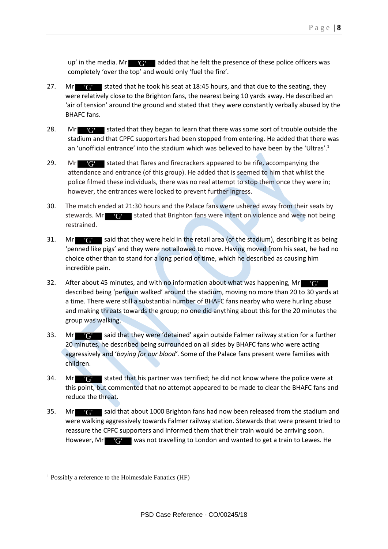up' in the media. Mr  $\mathbf{G}$  added that he felt the presence of these police officers was completely 'over the top' and would only 'fuel the fire'.

- 27. Mr  $\mathbb{R}^n$  stated that he took his seat at 18:45 hours, and that due to the seating, they were relatively close to the Brighton fans, the nearest being 10 yards away. He described an 'air of tension' around the ground and stated that they were constantly verbally abused by the BHAFC fans. Mr 'G'
- 28. Mr **G** stated that they began to learn that there was some sort of trouble outside the stadium and that CPFC supporters had been stopped from entering. He added that there was an 'unofficial entrance' into the stadium which was believed to have been by the 'Ultras'.<sup>1</sup>
- 29. Mr **G** stated that flares and firecrackers appeared to be rife, accompanying the attendance and entrance (of this group). He added that is seemed to him that whilst the police filmed these individuals, there was no real attempt to stop them once they were in; however, the entrances were locked to prevent further ingress.
- 30. The match ended at 21:30 hours and the Palace fans were ushered away from their seats by stewards. Mr  $\bigcirc$  stated that Brighton fans were intent on violence and were not being restrained.
- 31. Mr **G'** said that they were held in the retail area (of the stadium), describing it as being 'penned like pigs' and they were not allowed to move. Having moved from his seat, he had no choice other than to stand for a long period of time, which he described as causing him incredible pain.
- 32. After about 45 minutes, and with no information about what was happening, Mr 'G' described being 'penguin walked' around the stadium, moving no more than 20 to 30 yards at a time. There were still a substantial number of BHAFC fans nearby who were hurling abuse and making threats towards the group; no one did anything about this for the 20 minutes the group was walking.
- 33. Mr G said that they were 'detained' again outside Falmer railway station for a further 20 minutes, he described being surrounded on all sides by BHAFC fans who were acting aggressively and '*baying for our blood'*. Some of the Palace fans present were families with children.
- 34. Mr **G** stated that his partner was terrified; he did not know where the police were at this point, but commented that no attempt appeared to be made to clear the BHAFC fans and reduce the threat.
- 35. Mr G said that about 1000 Brighton fans had now been released from the stadium and were walking aggressively towards Falmer railway station. Stewards that were present tried to reassure the CPFC supporters and informed them that their train would be arriving soon. However, Mr **C** was not travelling to London and wanted to get a train to Lewes. He

1

<sup>&</sup>lt;sup>1</sup> Possibly a reference to the Holmesdale Fanatics (HF)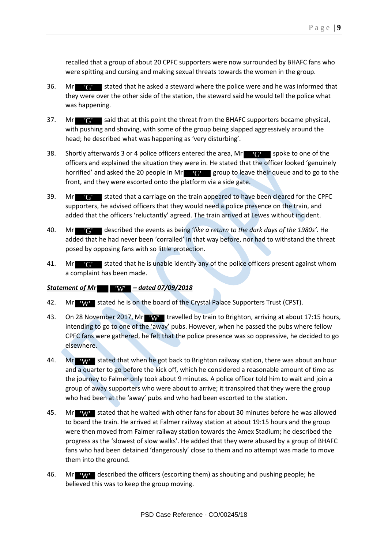recalled that a group of about 20 CPFC supporters were now surrounded by BHAFC fans who were spitting and cursing and making sexual threats towards the women in the group.

- 36. Mr **STATE:** stated that he asked a steward where the police were and he was informed that they were over the other side of the station, the steward said he would tell the police what was happening.
- 37. Mr **TH** said that at this point the threat from the BHAFC supporters became physical, with pushing and shoving, with some of the group being slapped aggressively around the head; he described what was happening as 'very disturbing'.
- 38. Shortly afterwards 3 or 4 police officers entered the area, Mr $\mathbf{G}$  spoke to one of the officers and explained the situation they were in. He stated that the officer looked 'genuinely horrified' and asked the 20 people in Mr  $\mathbb{Q}$  group to leave their queue and to go to the front, and they were escorted onto the platform via a side gate.
- 39. Mr  $\mathbb{C}$  stated that a carriage on the train appeared to have been cleared for the CPFC supporters, he advised officers that they would need a police presence on the train, and added that the officers 'reluctantly' agreed. The train arrived at Lewes without incident.
- 40. Mr described the events as being '*like a return to the dark days of the 1980s'*. He added that he had never been 'corralled' in that way before, nor had to withstand the threat posed by opposing fans with so little protection.
- 41. Mr  $\mathbb{C}^1$  stated that he is unable identify any of the police officers present against whom a complaint has been made.

## *Statement of Mr – dated 07/09/2018*  'W'

- 42. Mr W stated he is on the board of the Crystal Palace Supporters Trust (CPST).
- 43. On 28 November 2017, Mr Westravelled by train to Brighton, arriving at about 17:15 hours, intending to go to one of the 'away' pubs. However, when he passed the pubs where fellow CPFC fans were gathered, he felt that the police presence was so oppressive, he decided to go elsewhere.
- 44. Mr W stated that when he got back to Brighton railway station, there was about an hour and a quarter to go before the kick off, which he considered a reasonable amount of time as the journey to Falmer only took about 9 minutes. A police officer told him to wait and join a group of away supporters who were about to arrive; it transpired that they were the group who had been at the 'away' pubs and who had been escorted to the station.
- 45. Mr W stated that he waited with other fans for about 30 minutes before he was allowed to board the train. He arrived at Falmer railway station at about 19:15 hours and the group were then moved from Falmer railway station towards the Amex Stadium; he described the progress as the 'slowest of slow walks'. He added that they were abused by a group of BHAFC fans who had been detained 'dangerously' close to them and no attempt was made to move them into the ground. They stated that he asked a steward where the police were<br>
were over the other side of the station, the steward said he were<br>
appening.<br>
Solid that at this point the threat from the BHAFC supposing and showing, with some o
- 46. Mr described the officers (escorting them) as shouting and pushing people; he believed this was to keep the group moving.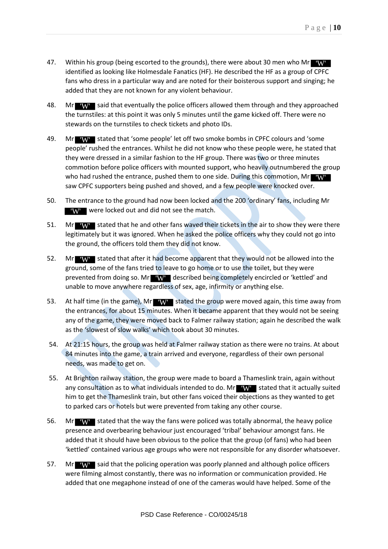- 47. Within his group (being escorted to the grounds), there were about 30 men who Mr identified as looking like Holmesdale Fanatics (HF). He described the HF as a group of CPFC fans who dress in a particular way and are noted for their boisterous support and singing; he added that they are not known for any violent behaviour.
- 48. Mr W said that eventually the police officers allowed them through and they approached the turnstiles: at this point it was only 5 minutes until the game kicked off. There were no stewards on the turnstiles to check tickets and photo IDs.
- 49. Mr W stated that 'some people' let off two smoke bombs in CPFC colours and 'some people' rushed the entrances. Whilst he did not know who these people were, he stated that they were dressed in a similar fashion to the HF group. There was two or three minutes commotion before police officers with mounted support, who heavily outnumbered the group who had rushed the entrance, pushed them to one side. During this commotion, Mr saw CPFC supporters being pushed and shoved, and a few people were knocked over.
- 50. The entrance to the ground had now been locked and the 200 'ordinary' fans, including Mr **W** were locked out and did not see the match.
- **EXPLEMPEDIES A** were locked out and did not see the match.<br> **51.** Mr **NV** stated that he and other fans waved their tickets in the air to show they were there legitimately but it was ignored. When he asked the police officers why they could not go into the ground, the officers told them they did not know.
- 52. Mr W stated that after it had become apparent that they would not be allowed into the ground, some of the fans tried to leave to go home or to use the toilet, but they were prevented from doing so. Mr  $\mathbf{W}$  described being completely encircled or 'kettled' and unable to move anywhere regardless of sex, age, infirmity or anything else.
- 53. At half time (in the game), Mr **WY** stated the group were moved again, this time away from the entrances, for about 15 minutes. When it became apparent that they would not be seeing any of the game, they were moved back to Falmer railway station; again he described the walk as the 'slowest of slow walks' which took about 30 minutes.
- 54. At 21:15 hours, the group was held at Falmer railway station as there were no trains. At about 84 minutes into the game, a train arrived and everyone, regardless of their own personal needs, was made to get on.
- 55. At Brighton railway station, the group were made to board a Thameslink train, again without any consultation as to what individuals intended to do. Mr **WW** stated that it actually suited him to get the Thameslink train, but other fans voiced their objections as they wanted to get to parked cars or hotels but were prevented from taking any other course.
- 56. Mr W stated that the way the fans were policed was totally abnormal, the heavy police presence and overbearing behaviour just encouraged 'tribal' behaviour amongst fans. He added that it should have been obvious to the police that the group (of fans) who had been 'kettled' contained various age groups who were not responsible for any disorder whatsoever.
- 57. Mr W said that the policing operation was poorly planned and although police officers were filming almost constantly, there was no information or communication provided. He added that one megaphone instead of one of the cameras would have helped. Some of the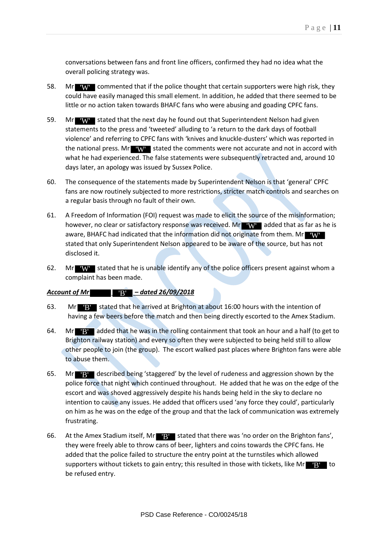conversations between fans and front line officers, confirmed they had no idea what the overall policing strategy was.

- 58. Mr W commented that if the police thought that certain supporters were high risk, they could have easily managed this small element. In addition, he added that there seemed to be little or no action taken towards BHAFC fans who were abusing and goading CPFC fans.
- 59. Mr W stated that the next day he found out that Superintendent Nelson had given statements to the press and 'tweeted' alluding to 'a return to the dark days of football violence' and referring to CPFC fans with 'knives and knuckle-dusters' which was reported in the national press. Mr  $\mathbf{W}$  stated the comments were not accurate and not in accord with what he had experienced. The false statements were subsequently retracted and, around 10 days later, an apology was issued by Sussex Police.
- 60. The consequence of the statements made by Superintendent Nelson is that 'general' CPFC fans are now routinely subjected to more restrictions, stricter match controls and searches on a regular basis through no fault of their own.
- 61. A Freedom of Information (FOI) request was made to elicit the source of the misinformation; however, no clear or satisfactory response was received. Mr**ewing added that as far as he is** aware, BHAFC had indicated that the information did not originate from them. Mr **W** stated that only Superintendent Nelson appeared to be aware of the source, but has not disclosed it.
- 62. Mr W stated that he is unable identify any of the police officers present against whom a complaint has been made.

## *Account of Mr – dated 26/09/2018*  'B'

- 63. Mr  $\mathbf{B}^{\prime}$  stated that he arrived at Brighton at about 16:00 hours with the intention of having a few beers before the match and then being directly escorted to the Amex Stadium.
- 64. Mr**ough added that he was in the rolling containment that took an hour and a half (to get to** Brighton railway station) and every so often they were subjected to being held still to allow other people to join (the group). The escort walked past places where Brighton fans were able to abuse them.
- 65. Mr**ok By described being 'staggered' by the level of rudeness and aggression shown by the** police force that night which continued throughout. He added that he was on the edge of the escort and was shoved aggressively despite his hands being held in the sky to declare no intention to cause any issues. He added that officers used 'any force they could', particularly on him as he was on the edge of the group and that the lack of communication was extremely frustrating.
- 66. At the Amex Stadium itself, Mr B stated that there was 'no order on the Brighton fans', they were freely able to throw cans of beer, lighters and coins towards the CPFC fans. He added that the police failed to structure the entry point at the turnstiles which allowed supporters without tickets to gain entry; this resulted in those with tickets, like Mr $\blacksquare$ B $\blacksquare$  to be refused entry.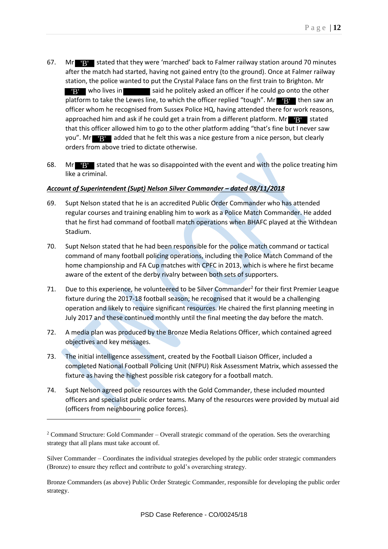- 67. Mr**oge Hand Stated that they were 'marched' back to Falmer railway station around 70 minutes** after the match had started, having not gained entry (to the ground). Once at Falmer railway station, the police wanted to put the Crystal Palace fans on the first train to Brighton. Mr said he politely asked an officer if he could go onto the other platform to take the Lewes line, to which the officer replied "tough". Mr**e Byle**then saw an officer whom he recognised from Sussex Police HQ, having attended there for work reasons, approached him and ask if he could get a train from a different platform. Mr**et guarated** that this officer allowed him to go to the other platform adding "that's fine but I never saw you". Mr**effying** added that he felt this was a nice gesture from a nice person, but clearly orders from above tried to dictate otherwise. **EV** who lives in
- 68. Mr Bustated that he was so disappointed with the event and with the police treating him like a criminal.

## *Account of Superintendent (Supt) Nelson Silver Commander – dated 08/11/2018*

- 69. Supt Nelson stated that he is an accredited Public Order Commander who has attended regular courses and training enabling him to work as a Police Match Commander. He added that he first had command of football match operations when BHAFC played at the Withdean Stadium.
- 70. Supt Nelson stated that he had been responsible for the police match command or tactical command of many football policing operations, including the Police Match Command of the home championship and FA Cup matches with CPFC in 2013, which is where he first became aware of the extent of the derby rivalry between both sets of supporters.
- 71. Due to this experience, he volunteered to be Silver Commander<sup>2</sup> for their first Premier League fixture during the 2017-18 football season; he recognised that it would be a challenging operation and likely to require significant resources. He chaired the first planning meeting in July 2017 and these continued monthly until the final meeting the day before the match.
- 72. A media plan was produced by the Bronze Media Relations Officer, which contained agreed objectives and key messages.
- 73. The initial intelligence assessment, created by the Football Liaison Officer, included a completed National Football Policing Unit (NFPU) Risk Assessment Matrix, which assessed the fixture as having the highest possible risk category for a football match.
- 74. Supt Nelson agreed police resources with the Gold Commander, these included mounted officers and specialist public order teams. Many of the resources were provided by mutual aid (officers from neighbouring police forces).

1

Silver Commander – Coordinates the individual strategies developed by the public order strategic commanders (Bronze) to ensure they reflect and contribute to gold's overarching strategy.

Bronze Commanders (as above) Public Order Strategic Commander, responsible for developing the public order strategy.

<sup>&</sup>lt;sup>2</sup> Command Structure: Gold Commander – Overall strategic command of the operation. Sets the overarching strategy that all plans must take account of.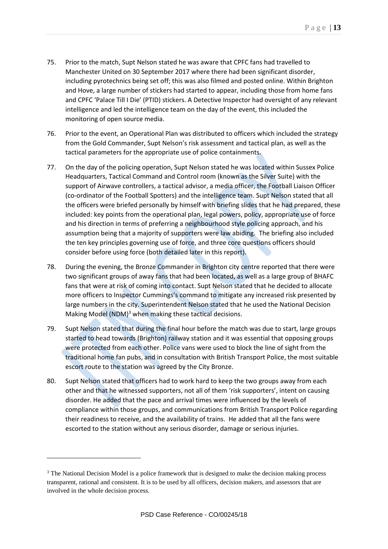- 75. Prior to the match, Supt Nelson stated he was aware that CPFC fans had travelled to Manchester United on 30 September 2017 where there had been significant disorder, including pyrotechnics being set off; this was also filmed and posted online. Within Brighton and Hove, a large number of stickers had started to appear, including those from home fans and CPFC 'Palace Till I Die' (PTID) stickers. A Detective Inspector had oversight of any relevant intelligence and led the intelligence team on the day of the event, this included the monitoring of open source media.
- 76. Prior to the event, an Operational Plan was distributed to officers which included the strategy from the Gold Commander, Supt Nelson's risk assessment and tactical plan, as well as the tactical parameters for the appropriate use of police containments.
- 77. On the day of the policing operation, Supt Nelson stated he was located within Sussex Police Headquarters, Tactical Command and Control room (known as the Silver Suite) with the support of Airwave controllers, a tactical advisor, a media officer, the Football Liaison Officer (co-ordinator of the Football Spotters) and the intelligence team. Supt Nelson stated that all the officers were briefed personally by himself with briefing slides that he had prepared, these included: key points from the operational plan, legal powers, policy, appropriate use of force and his direction in terms of preferring a neighbourhood style policing approach, and his assumption being that a majority of supporters were law abiding. The briefing also included the ten key principles governing use of force, and three core questions officers should consider before using force (both detailed later in this report).
- 78. During the evening, the Bronze Commander in Brighton city centre reported that there were two significant groups of away fans that had been located, as well as a large group of BHAFC fans that were at risk of coming into contact. Supt Nelson stated that he decided to allocate more officers to Inspector Cummings's command to mitigate any increased risk presented by large numbers in the city. Superintendent Nelson stated that he used the National Decision Making Model (NDM)<sup>3</sup> when making these tactical decisions.
- 79. Supt Nelson stated that during the final hour before the match was due to start, large groups started to head towards (Brighton) railway station and it was essential that opposing groups were protected from each other. Police vans were used to block the line of sight from the traditional home fan pubs, and in consultation with British Transport Police, the most suitable escort route to the station was agreed by the City Bronze.
- <span id="page-12-0"></span>80. Supt Nelson stated that officers had to work hard to keep the two groups away from each other and that he witnessed supporters, not all of them 'risk supporters', intent on causing disorder. He added that the pace and arrival times were influenced by the levels of compliance within those groups, and communications from British Transport Police regarding their readiness to receive, and the availability of trains. He added that all the fans were escorted to the station without any serious disorder, damage or serious injuries.

<u>.</u>

<sup>&</sup>lt;sup>3</sup> The National Decision Model is a police framework that is designed to make the decision making process transparent, rational and consistent. It is to be used by all officers, decision makers, and assessors that are involved in the whole decision process.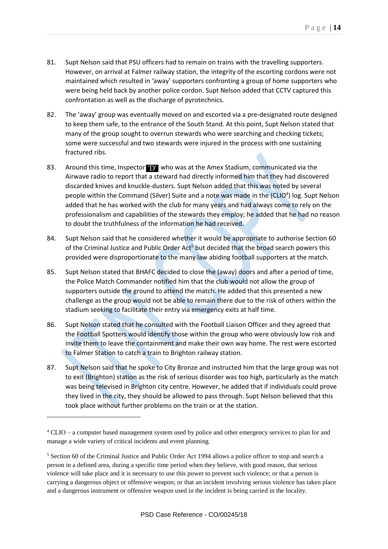- 81. Supt Nelson said that PSU officers had to remain on trains with the travelling supporters. However, on arrival at Falmer railway station, the integrity of the escorting cordons were not maintained which resulted in 'away' supporters confronting a group of home supporters who were being held back by another police cordon. Supt Nelson added that CCTV captured this confrontation as well as the discharge of pyrotechnics.
- 82. The 'away' group was eventually moved on and escorted via a pre-designated route designed to keep them safe, to the entrance of the South Stand. At this point, Supt Nelson stated that many of the group sought to overrun stewards who were searching and checking tickets; some were successful and two stewards were injured in the process with one sustaining fractured ribs.
- 83. Around this time, Inspector **D** who was at the Amex Stadium, communicated via the Airwave radio to report that a steward had directly informed him that they had discovered discarded knives and knuckle-dusters. Supt Nelson added that this was noted by several people within the Command (Silver) Suite and a note was made in the (CLIO<sup>4</sup>) log. Supt Nelson added that he has worked with the club for many years and had always come to rely on the professionalism and capabilities of the stewards they employ; he added that he had no reason to doubt the truthfulness of the information he had received.
- 84. Supt Nelson said that he considered whether it would be appropriate to authorise Section 60 of the Criminal Justice and Public Order Act<sup>5</sup> but decided that the broad search powers this provided were disproportionate to the many law abiding football supporters at the match.
- 85. Supt Nelson stated that BHAFC decided to close the (away) doors and after a period of time, the Police Match Commander notified him that the club would not allow the group of supporters outside the ground to attend the match. He added that this presented a new challenge as the group would not be able to remain there due to the risk of others within the stadium seeking to facilitate their entry via emergency exits at half time.
- 86. Supt Nelson stated that he consulted with the Football Liaison Officer and they agreed that the Football Spotters would identify those within the group who were obviously low risk and invite them to leave the containment and make their own way home. The rest were escorted to Falmer Station to catch a train to Brighton railway station.
- 87. Supt Nelson said that he spoke to City Bronze and instructed him that the large group was not to exit (Brighton) station as the risk of serious disorder was too high, particularly as the match was being televised in Brighton city centre. However, he added that if individuals could prove they lived in the city, they should be allowed to pass through. Supt Nelson believed that this took place without further problems on the train or at the station.

1

<sup>4</sup> CLIO – a computer based management system used by police and other emergency services to plan for and manage a wide variety of critical incidents and event planning.

<sup>&</sup>lt;sup>5</sup> Section 60 of the Criminal Justice and Public Order Act 1994 allows a police officer to stop and search a person in a defined area, during a specific time period when they believe, with good reason, that serious violence will take place and it is necessary to use this power to prevent such violence; or that a person is carrying a dangerous object or offensive weapon; or that an incident involving serious violence has taken place and a dangerous instrument or offensive weapon used in the incident is being carried in the locality.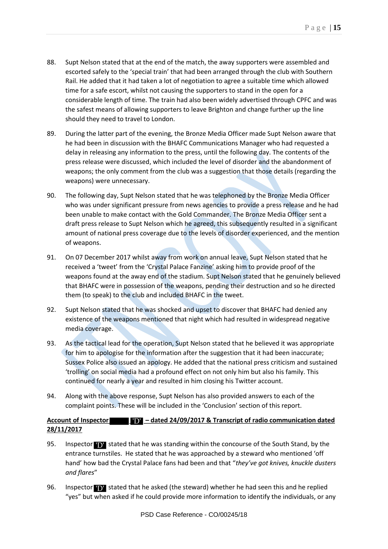- 88. Supt Nelson stated that at the end of the match, the away supporters were assembled and escorted safely to the 'special train' that had been arranged through the club with Southern Rail. He added that it had taken a lot of negotiation to agree a suitable time which allowed time for a safe escort, whilst not causing the supporters to stand in the open for a considerable length of time. The train had also been widely advertised through CPFC and was the safest means of allowing supporters to leave Brighton and change further up the line should they need to travel to London.
- 89. During the latter part of the evening, the Bronze Media Officer made Supt Nelson aware that he had been in discussion with the BHAFC Communications Manager who had requested a delay in releasing any information to the press, until the following day. The contents of the press release were discussed, which included the level of disorder and the abandonment of weapons; the only comment from the club was a suggestion that those details (regarding the weapons) were unnecessary.
- 90. The following day, Supt Nelson stated that he was telephoned by the Bronze Media Officer who was under significant pressure from news agencies to provide a press release and he had been unable to make contact with the Gold Commander. The Bronze Media Officer sent a draft press release to Supt Nelson which he agreed, this subsequently resulted in a significant amount of national press coverage due to the levels of disorder experienced, and the mention of weapons.
- 91. On 07 December 2017 whilst away from work on annual leave, Supt Nelson stated that he received a 'tweet' from the 'Crystal Palace Fanzine' asking him to provide proof of the weapons found at the away end of the stadium. Supt Nelson stated that he genuinely believed that BHAFC were in possession of the weapons, pending their destruction and so he directed them (to speak) to the club and included BHAFC in the tweet.
- 92. Supt Nelson stated that he was shocked and upset to discover that BHAFC had denied any existence of the weapons mentioned that night which had resulted in widespread negative media coverage.
- 93. As the tactical lead for the operation, Supt Nelson stated that he believed it was appropriate for him to apologise for the information after the suggestion that it had been inaccurate; Sussex Police also issued an apology. He added that the national press criticism and sustained 'trolling' on social media had a profound effect on not only him but also his family. This continued for nearly a year and resulted in him closing his Twitter account.
- 94. Along with the above response, Supt Nelson has also provided answers to each of the complaint points. These will be included in the 'Conclusion' section of this report.

## **Account of Inspector LID - dated 24/09/2017 & Transcript of radio communication dated 28/11/2017**

- 95. Inspector **TD** stated that he was standing within the concourse of the South Stand, by the entrance turnstiles. He stated that he was approached by a steward who mentioned 'off hand' how bad the Crystal Palace fans had been and that "*they've got knives, knuckle dusters and flares*"
- 96. Inspector **D** stated that he asked (the steward) whether he had seen this and he replied "yes" but when asked if he could provide more information to identify the individuals, or any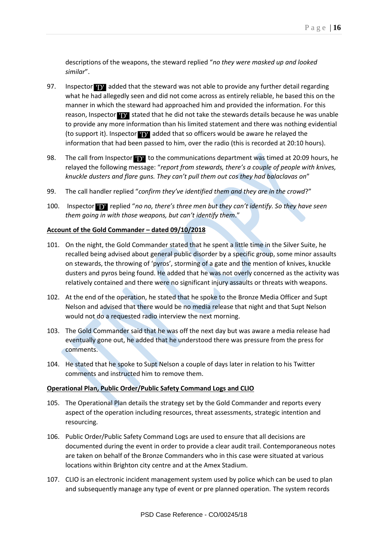descriptions of the weapons, the steward replied "*no they were masked up and looked similar*".

- 97. Inspector **TV** added that the steward was not able to provide any further detail regarding what he had allegedly seen and did not come across as entirely reliable, he based this on the manner in which the steward had approached him and provided the information. For this reason, Inspector **TD** stated that he did not take the stewards details because he was unable to provide any more information than his limited statement and there was nothing evidential (to support it). Inspector  $\bf{D}$  added that so officers would be aware he relayed the information that had been passed to him, over the radio (this is recorded at 20:10 hours).
- 98. The call from Inspector **D** to the communications department was timed at 20:09 hours, he relayed the following message: "*report from stewards, there's a couple of people with knives, knuckle dusters and flare guns. They can't pull them out cos they had balaclavas on*"
- 99. The call handler replied "*confirm they've identified them and they are in the crowd*?"
- 100. Inspector **TV** replied "no no, there's three men but they can't identify. So they have seen *them going in with those weapons, but can't identify them*."

## **Account of the Gold Commander – dated 09/10/2018**

- 101. On the night, the Gold Commander stated that he spent a little time in the Silver Suite, he recalled being advised about general public disorder by a specific group, some minor assaults on stewards, the throwing of 'pyros', storming of a gate and the mention of knives, knuckle dusters and pyros being found. He added that he was not overly concerned as the activity was relatively contained and there were no significant injury assaults or threats with weapons.
- 102. At the end of the operation, he stated that he spoke to the Bronze Media Officer and Supt Nelson and advised that there would be no media release that night and that Supt Nelson would not do a requested radio interview the next morning.
- 103. The Gold Commander said that he was off the next day but was aware a media release had eventually gone out, he added that he understood there was pressure from the press for comments.
- 104. He stated that he spoke to Supt Nelson a couple of days later in relation to his Twitter comments and instructed him to remove them.

## **Operational Plan, Public Order/Public Safety Command Logs and CLIO**

- 105. The Operational Plan details the strategy set by the Gold Commander and reports every aspect of the operation including resources, threat assessments, strategic intention and resourcing.
- 106. Public Order/Public Safety Command Logs are used to ensure that all decisions are documented during the event in order to provide a clear audit trail. Contemporaneous notes are taken on behalf of the Bronze Commanders who in this case were situated at various locations within Brighton city centre and at the Amex Stadium.
- 107. CLIO is an electronic incident management system used by police which can be used to plan and subsequently manage any type of event or pre planned operation. The system records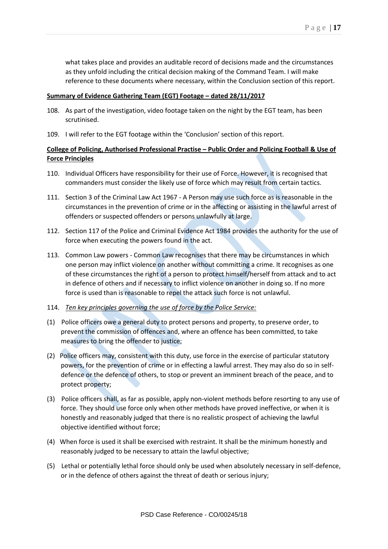what takes place and provides an auditable record of decisions made and the circumstances as they unfold including the critical decision making of the Command Team. I will make reference to these documents where necessary, within the Conclusion section of this report.

### **Summary of Evidence Gathering Team (EGT) Footage - dated 28/11/2017**

- 108. As part of the investigation, video footage taken on the night by the EGT team, has been scrutinised.
- 109. I will refer to the EGT footage within the 'Conclusion' section of this report.

## **College of Policing, Authorised Professional Practise – Public Order and Policing Football & Use of Force Principles**

- 110. Individual Officers have responsibility for their use of Force. However, it is recognised that commanders must consider the likely use of force which may result from certain tactics.
- 111. Section 3 of the Criminal Law Act 1967 A Person may use such force as is reasonable in the circumstances in the prevention of crime or in the affecting or assisting in the lawful arrest of offenders or suspected offenders or persons unlawfully at large.
- 112. Section 117 of the Police and Criminal Evidence Act 1984 provides the authority for the use of force when executing the powers found in the act.
- 113. Common Law powers Common Law recognises that there may be circumstances in which one person may inflict violence on another without committing a crime. It recognises as one of these circumstances the right of a person to protect himself/herself from attack and to act in defence of others and if necessary to inflict violence on another in doing so. If no more force is used than is reasonable to repel the attack such force is not unlawful.
- 114. *Ten key principles governing the use of force by the Police Service:*
- (1) Police officers owe a general duty to protect persons and property, to preserve order, to prevent the commission of offences and, where an offence has been committed, to take measures to bring the offender to justice;
- (2) Police officers may, consistent with this duty, use force in the exercise of particular statutory powers, for the prevention of crime or in effecting a lawful arrest. They may also do so in selfdefence or the defence of others, to stop or prevent an imminent breach of the peace, and to protect property;
- (3) Police officers shall, as far as possible, apply non-violent methods before resorting to any use of force. They should use force only when other methods have proved ineffective, or when it is honestly and reasonably judged that there is no realistic prospect of achieving the lawful objective identified without force;
- (4) When force is used it shall be exercised with restraint. It shall be the minimum honestly and reasonably judged to be necessary to attain the lawful objective;
- (5) Lethal or potentially lethal force should only be used when absolutely necessary in self-defence, or in the defence of others against the threat of death or serious injury;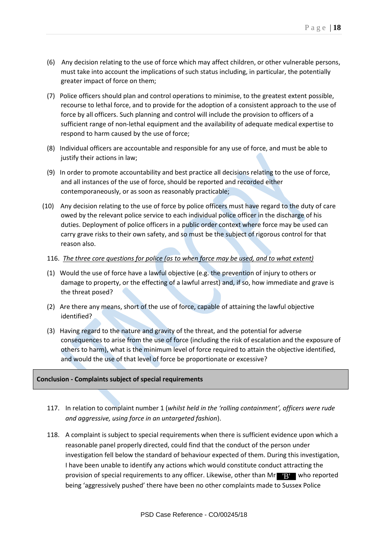- (6) Any decision relating to the use of force which may affect children, or other vulnerable persons, must take into account the implications of such status including, in particular, the potentially greater impact of force on them;
- (7) Police officers should plan and control operations to minimise, to the greatest extent possible, recourse to lethal force, and to provide for the adoption of a consistent approach to the use of force by all officers. Such planning and control will include the provision to officers of a sufficient range of non-lethal equipment and the availability of adequate medical expertise to respond to harm caused by the use of force;
- (8) Individual officers are accountable and responsible for any use of force, and must be able to justify their actions in law;
- (9) In order to promote accountability and best practice all decisions relating to the use of force, and all instances of the use of force, should be reported and recorded either contemporaneously, or as soon as reasonably practicable;
- (10) Any decision relating to the use of force by police officers must have regard to the duty of care owed by the relevant police service to each individual police officer in the discharge of his duties. Deployment of police officers in a public order context where force may be used can carry grave risks to their own safety, and so must be the subject of rigorous control for that reason also.
	- 116. *The three core questions for police (as to when force may be used, and to what extent)*
	- (1) Would the use of force have a lawful objective (e.g. the prevention of injury to others or damage to property, or the effecting of a lawful arrest) and, if so, how immediate and grave is the threat posed?
	- (2) Are there any means, short of the use of force, capable of attaining the lawful objective identified?
	- (3) Having regard to the nature and gravity of the threat, and the potential for adverse consequences to arise from the use of force (including the risk of escalation and the exposure of others to harm), what is the minimum level of force required to attain the objective identified, and would the use of that level of force be proportionate or excessive?

## **Conclusion - Complaints subject of special requirements**

- 117. In relation to complaint number 1 (*whilst held in the 'rolling containment', officers were rude and aggressive, using force in an untargeted fashion*).
- 118. A complaint is subject to special requirements when there is sufficient evidence upon which a reasonable panel properly directed, could find that the conduct of the person under investigation fell below the standard of behaviour expected of them. During this investigation, I have been unable to identify any actions which would constitute conduct attracting the provision of special requirements to any officer. Likewise, other than Mr Bun who reported being 'aggressively pushed' there have been no other complaints made to Sussex Police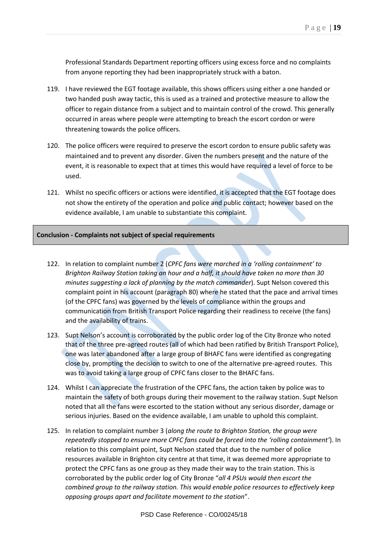Professional Standards Department reporting officers using excess force and no complaints from anyone reporting they had been inappropriately struck with a baton.

- 119. I have reviewed the EGT footage available, this shows officers using either a one handed or two handed push away tactic, this is used as a trained and protective measure to allow the officer to regain distance from a subject and to maintain control of the crowd. This generally occurred in areas where people were attempting to breach the escort cordon or were threatening towards the police officers.
- 120. The police officers were required to preserve the escort cordon to ensure public safety was maintained and to prevent any disorder. Given the numbers present and the nature of the event, it is reasonable to expect that at times this would have required a level of force to be used.
- 121. Whilst no specific officers or actions were identified, it is accepted that the EGT footage does not show the entirety of the operation and police and public contact; however based on the evidence available, I am unable to substantiate this complaint.

#### **Conclusion - Complaints not subject of special requirements**

- 122. In relation to complaint number 2 (*CPFC fans were marched in a 'rolling containment' to Brighton Railway Station taking an hour and a half, it should have taken no more than 30 minutes suggesting a lack of planning by the match commander*). Supt Nelson covered this complaint point in his account (paragraph [80\)](#page-12-0) where he stated that the pace and arrival times (of the CPFC fans) was governed by the levels of compliance within the groups and communication from British Transport Police regarding their readiness to receive (the fans) and the availability of trains.
- 123. Supt Nelson's account is corroborated by the public order log of the City Bronze who noted that of the three pre-agreed routes (all of which had been ratified by British Transport Police), one was later abandoned after a large group of BHAFC fans were identified as congregating close by, prompting the decision to switch to one of the alternative pre-agreed routes. This was to avoid taking a large group of CPFC fans closer to the BHAFC fans.
- 124. Whilst I can appreciate the frustration of the CPFC fans, the action taken by police was to maintain the safety of both groups during their movement to the railway station. Supt Nelson noted that all the fans were escorted to the station without any serious disorder, damage or serious injuries. Based on the evidence available, I am unable to uphold this complaint.
- 125. In relation to complaint number 3 (*along the route to Brighton Station, the group were repeatedly stopped to ensure more CPFC fans could be forced into the 'rolling containment'*). In relation to this complaint point, Supt Nelson stated that due to the number of police resources available in Brighton city centre at that time, it was deemed more appropriate to protect the CPFC fans as one group as they made their way to the train station. This is corroborated by the public order log of City Bronze "*all 4 PSUs would then escort the combined group to the railway station. This would enable police resources to effectively keep opposing groups apart and facilitate movement to the station*".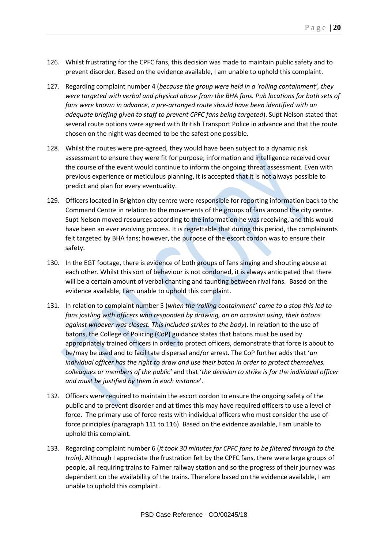- 126. Whilst frustrating for the CPFC fans, this decision was made to maintain public safety and to prevent disorder. Based on the evidence available, I am unable to uphold this complaint.
- 127. Regarding complaint number 4 (*because the group were held in a 'rolling containment', they were targeted with verbal and physical abuse from the BHA fans. Pub locations for both sets of fans were known in advance, a pre-arranged route should have been identified with an adequate briefing given to staff to prevent CPFC fans being targeted*). Supt Nelson stated that several route options were agreed with British Transport Police in advance and that the route chosen on the night was deemed to be the safest one possible.
- 128. Whilst the routes were pre-agreed, they would have been subject to a dynamic risk assessment to ensure they were fit for purpose; information and intelligence received over the course of the event would continue to inform the ongoing threat assessment. Even with previous experience or meticulous planning, it is accepted that it is not always possible to predict and plan for every eventuality.
- 129. Officers located in Brighton city centre were responsible for reporting information back to the Command Centre in relation to the movements of the groups of fans around the city centre. Supt Nelson moved resources according to the information he was receiving, and this would have been an ever evolving process. It is regrettable that during this period, the complainants felt targeted by BHA fans; however, the purpose of the escort cordon was to ensure their safety.
- 130. In the EGT footage, there is evidence of both groups of fans singing and shouting abuse at each other. Whilst this sort of behaviour is not condoned, it is always anticipated that there will be a certain amount of verbal chanting and taunting between rival fans. Based on the evidence available, I am unable to uphold this complaint.
- 131. In relation to complaint number 5 (*when the 'rolling containment' came to a stop this led to fans jostling with officers who responded by drawing, an on occasion using, their batons against whoever was closest. This included strikes to the body*). In relation to the use of batons, the College of Policing (CoP) guidance states that batons must be used by appropriately trained officers in order to protect officers, demonstrate that force is about to be/may be used and to facilitate dispersal and/or arrest. The CoP further adds that '*an individual officer has the right to draw and use their baton in order to protect themselves, colleagues or members of the public'* and that '*the decision to strike is for the individual officer and must be justified by them in each instance*'.
- 132. Officers were required to maintain the escort cordon to ensure the ongoing safety of the public and to prevent disorder and at times this may have required officers to use a level of force. The primary use of force rests with individual officers who must consider the use of force principles (paragraph 111 to 116). Based on the evidence available, I am unable to uphold this complaint.
- 133. Regarding complaint number 6 (*it took 30 minutes for CPFC fans to be filtered through to the train)*. Although I appreciate the frustration felt by the CPFC fans, there were large groups of people, all requiring trains to Falmer railway station and so the progress of their journey was dependent on the availability of the trains. Therefore based on the evidence available, I am unable to uphold this complaint.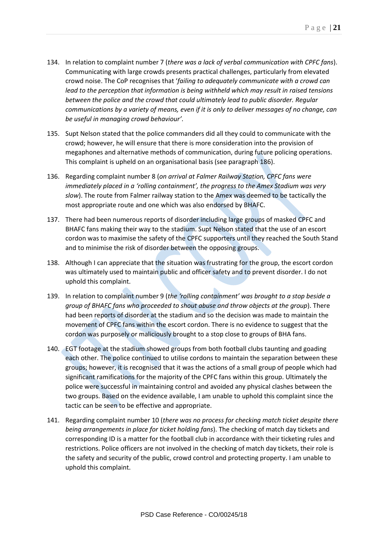- 134. In relation to complaint number 7 (*there was a lack of verbal communication with CPFC fans*). Communicating with large crowds presents practical challenges, particularly from elevated crowd noise. The CoP recognises that '*failing to adequately communicate with a crowd can lead to the perception that information is being withheld which may result in raised tensions between the police and the crowd that could ultimately lead to public disorder. Regular communications by a variety of means, even if it is only to deliver messages of no change, can be useful in managing crowd behaviour'*.
- 135. Supt Nelson stated that the police commanders did all they could to communicate with the crowd; however, he will ensure that there is more consideration into the provision of megaphones and alternative methods of communication, during future policing operations. This complaint is upheld on an organisational basis (see paragraph 186).
- 136. Regarding complaint number 8 (*on arrival at Falmer Railway Station, CPFC fans were immediately placed in a 'rolling containment', the progress to the Amex Stadium was very slow*). The route from Falmer railway station to the Amex was deemed to be tactically the most appropriate route and one which was also endorsed by BHAFC.
- 137. There had been numerous reports of disorder including large groups of masked CPFC and BHAFC fans making their way to the stadium. Supt Nelson stated that the use of an escort cordon was to maximise the safety of the CPFC supporters until they reached the South Stand and to minimise the risk of disorder between the opposing groups.
- 138. Although I can appreciate that the situation was frustrating for the group, the escort cordon was ultimately used to maintain public and officer safety and to prevent disorder. I do not uphold this complaint.
- 139. In relation to complaint number 9 (*the 'rolling containment' was brought to a stop beside a group of BHAFC fans who proceeded to shout abuse and throw objects at the group*). There had been reports of disorder at the stadium and so the decision was made to maintain the movement of CPFC fans within the escort cordon. There is no evidence to suggest that the cordon was purposely or maliciously brought to a stop close to groups of BHA fans.
- 140. EGT footage at the stadium showed groups from both football clubs taunting and goading each other. The police continued to utilise cordons to maintain the separation between these groups; however, it is recognised that it was the actions of a small group of people which had significant ramifications for the majority of the CPFC fans within this group. Ultimately the police were successful in maintaining control and avoided any physical clashes between the two groups. Based on the evidence available, I am unable to uphold this complaint since the tactic can be seen to be effective and appropriate.
- 141. Regarding complaint number 10 (*there was no process for checking match ticket despite there being arrangements in place for ticket holding fans*). The checking of match day tickets and corresponding ID is a matter for the football club in accordance with their ticketing rules and restrictions. Police officers are not involved in the checking of match day tickets, their role is the safety and security of the public, crowd control and protecting property. I am unable to uphold this complaint.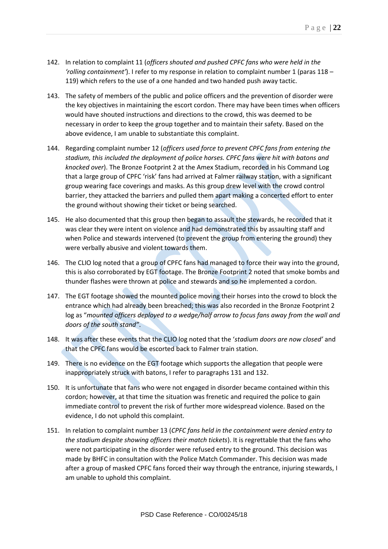- 142. In relation to complaint 11 (*officers shouted and pushed CPFC fans who were held in the 'rolling containment'*). I refer to my response in relation to complaint number 1 (paras 118 – 119) which refers to the use of a one handed and two handed push away tactic.
- 143. The safety of members of the public and police officers and the prevention of disorder were the key objectives in maintaining the escort cordon. There may have been times when officers would have shouted instructions and directions to the crowd, this was deemed to be necessary in order to keep the group together and to maintain their safety. Based on the above evidence, I am unable to substantiate this complaint.
- 144. Regarding complaint number 12 (*officers used force to prevent CPFC fans from entering the stadium, this included the deployment of police horses. CPFC fans were hit with batons and knocked over*). The Bronze Footprint 2 at the Amex Stadium, recorded in his Command Log that a large group of CPFC 'risk' fans had arrived at Falmer railway station, with a significant group wearing face coverings and masks. As this group drew level with the crowd control barrier, they attacked the barriers and pulled them apart making a concerted effort to enter the ground without showing their ticket or being searched.
- 145. He also documented that this group then began to assault the stewards, he recorded that it was clear they were intent on violence and had demonstrated this by assaulting staff and when Police and stewards intervened (to prevent the group from entering the ground) they were verbally abusive and violent towards them.
- 146. The CLIO log noted that a group of CPFC fans had managed to force their way into the ground, this is also corroborated by EGT footage. The Bronze Footprint 2 noted that smoke bombs and thunder flashes were thrown at police and stewards and so he implemented a cordon.
- 147. The EGT footage showed the mounted police moving their horses into the crowd to block the entrance which had already been breached; this was also recorded in the Bronze Footprint 2 log as "*mounted officers deployed to a wedge/half arrow to focus fans away from the wall and doors of the south stand"*.
- 148. It was after these events that the CLIO log noted that the '*stadium doors are now closed'* and that the CPFC fans would be escorted back to Falmer train station.
- 149. There is no evidence on the EGT footage which supports the allegation that people were inappropriately struck with batons, I refer to paragraphs 131 and 132.
- 150. It is unfortunate that fans who were not engaged in disorder became contained within this cordon; however, at that time the situation was frenetic and required the police to gain immediate control to prevent the risk of further more widespread violence. Based on the evidence, I do not uphold this complaint.
- 151. In relation to complaint number 13 (*CPFC fans held in the containment were denied entry to the stadium despite showing officers their match tickets*). It is regrettable that the fans who were not participating in the disorder were refused entry to the ground. This decision was made by BHFC in consultation with the Police Match Commander. This decision was made after a group of masked CPFC fans forced their way through the entrance, injuring stewards, I am unable to uphold this complaint.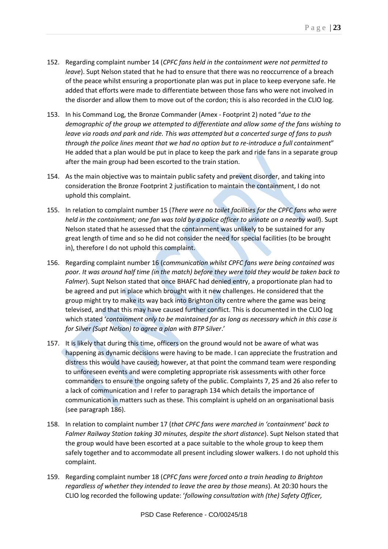- 152. Regarding complaint number 14 (*CPFC fans held in the containment were not permitted to leave*). Supt Nelson stated that he had to ensure that there was no reoccurrence of a breach of the peace whilst ensuring a proportionate plan was put in place to keep everyone safe. He added that efforts were made to differentiate between those fans who were not involved in the disorder and allow them to move out of the cordon; this is also recorded in the CLIO log.
- 153. In his Command Log, the Bronze Commander (Amex Footprint 2) noted "*due to the demographic of the group we attempted to differentiate and allow some of the fans wishing to leave via roads and park and ride. This was attempted but a concerted surge of fans to push through the police lines meant that we had no option but to re-introduce a full containment*" He added that a plan would be put in place to keep the park and ride fans in a separate group after the main group had been escorted to the train station.
- 154. As the main objective was to maintain public safety and prevent disorder, and taking into consideration the Bronze Footprint 2 justification to maintain the containment, I do not uphold this complaint.
- 155. In relation to complaint number 15 (*There were no toilet facilities for the CPFC fans who were held in the containment; one fan was told by a police officer to urinate on a nearby wall*). Supt Nelson stated that he assessed that the containment was unlikely to be sustained for any great length of time and so he did not consider the need for special facilities (to be brought in), therefore I do not uphold this complaint.
- 156. Regarding complaint number 16 (*communication whilst CPFC fans were being contained was poor. It was around half time (in the match) before they were told they would be taken back to Falmer*). Supt Nelson stated that once BHAFC had denied entry, a proportionate plan had to be agreed and put in place which brought with it new challenges. He considered that the group might try to make its way back into Brighton city centre where the game was being televised, and that this may have caused further conflict. This is documented in the CLIO log which stated '*containment only to be maintained for as long as necessary which in this case is for Silver (Supt Nelson) to agree a plan with BTP Silver*.'
- 157. It is likely that during this time, officers on the ground would not be aware of what was happening as dynamic decisions were having to be made. I can appreciate the frustration and distress this would have caused; however, at that point the command team were responding to unforeseen events and were completing appropriate risk assessments with other force commanders to ensure the ongoing safety of the public. Complaints 7, 25 and 26 also refer to a lack of communication and I refer to paragraph 134 which details the importance of communication in matters such as these. This complaint is upheld on an organisational basis (see paragraph  $186$ ).
- 158. In relation to complaint number 17 (*that CPFC fans were marched in 'containment' back to Falmer Railway Station taking 30 minutes, despite the short distance*). Supt Nelson stated that the group would have been escorted at a pace suitable to the whole group to keep them safely together and to accommodate all present including slower walkers. I do not uphold this complaint.
- 159. Regarding complaint number 18 (*CPFC fans were forced onto a train heading to Brighton regardless of whether they intended to leave the area by those means*). At 20:30 hours the CLIO log recorded the following update: '*following consultation with (the) Safety Officer,*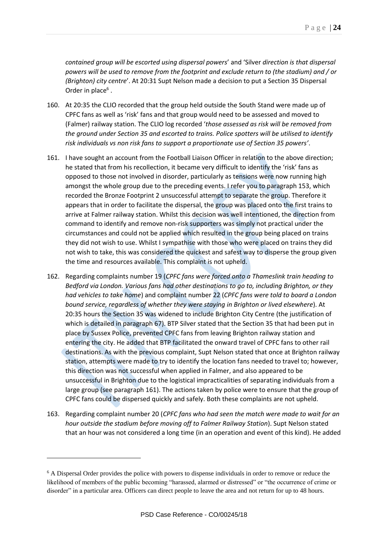*contained group will be escorted using dispersal powers*' and 'Silver *direction is that dispersal powers will be used to remove from the footprint and exclude return to (the stadium) and / or (Brighton) city centre*'. At 20:31 Supt Nelson made a decision to put a Section 35 Dispersal Order in place $<sup>6</sup>$ .</sup>

- 160. At 20:35 the CLIO recorded that the group held outside the South Stand were made up of CPFC fans as well as 'risk' fans and that group would need to be assessed and moved to (Falmer) railway station. The CLIO log recorded '*those assessed as risk will be removed from the ground under Section 35 and escorted to trains. Police spotters will be utilised to identify risk individuals vs non risk fans to support a proportionate use of Section 35 powers'*.
- 161. I have sought an account from the Football Liaison Officer in relation to the above direction; he stated that from his recollection, it became very difficult to identify the 'risk' fans as opposed to those not involved in disorder, particularly as tensions were now running high amongst the whole group due to the preceding events. I refer you to paragraph 153, which recorded the Bronze Footprint 2 unsuccessful attempt to separate the group. Therefore it appears that in order to facilitate the dispersal, the group was placed onto the first trains to arrive at Falmer railway station. Whilst this decision was well intentioned, the direction from command to identify and remove non-risk supporters was simply not practical under the circumstances and could not be applied which resulted in the group being placed on trains they did not wish to use. Whilst I sympathise with those who were placed on trains they did not wish to take, this was considered the quickest and safest way to disperse the group given the time and resources available. This complaint is not upheld.
- 162. Regarding complaints number 19 (*CPFC fans were forced onto a Thameslink train heading to Bedford via London. Various fans had other destinations to go to, including Brighton, or they had vehicles to take home*) and complaint number 22 (*CPFC fans were told to board a London bound service, regardless of whether they were staying in Brighton or lived elsewhere*). At 20:35 hours the Section 35 was widened to include Brighton City Centre (the justification of which is detailed in paragraph 67). BTP Silver stated that the Section 35 that had been put in place by Sussex Police, prevented CPFC fans from leaving Brighton railway station and entering the city. He added that BTP facilitated the onward travel of CPFC fans to other rail destinations. As with the previous complaint, Supt Nelson stated that once at Brighton railway station, attempts were made to try to identify the location fans needed to travel to; however, this direction was not successful when applied in Falmer, and also appeared to be unsuccessful in Brighton due to the logistical impracticalities of separating individuals from a large group (see paragraph 161). The actions taken by police were to ensure that the group of CPFC fans could be dispersed quickly and safely. Both these complaints are not upheld.
- 163. Regarding complaint number 20 (*CPFC fans who had seen the match were made to wait for an hour outside the stadium before moving off to Falmer Railway Station*). Supt Nelson stated that an hour was not considered a long time (in an operation and event of this kind). He added

<u>.</u>

<sup>6</sup> A Dispersal Order provides the police with powers to dispense individuals in order to remove or reduce the likelihood of members of the public becoming "harassed, alarmed or distressed" or "the occurrence of crime or disorder" in a particular area. Officers can direct people to leave the area and not return for up to 48 hours.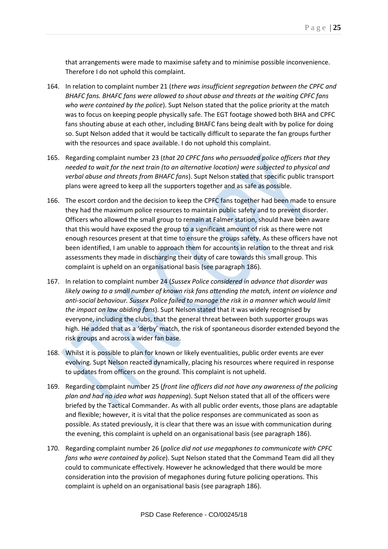that arrangements were made to maximise safety and to minimise possible inconvenience. Therefore I do not uphold this complaint.

- 164. In relation to complaint number 21 (*there was insufficient segregation between the CPFC and BHAFC fans. BHAFC fans were allowed to shout abuse and threats at the waiting CPFC fans who were contained by the police*). Supt Nelson stated that the police priority at the match was to focus on keeping people physically safe. The EGT footage showed both BHA and CPFC fans shouting abuse at each other, including BHAFC fans being dealt with by police for doing so. Supt Nelson added that it would be tactically difficult to separate the fan groups further with the resources and space available. I do not uphold this complaint.
- 165. Regarding complaint number 23 (*that 20 CPFC fans who persuaded police officers that they needed to wait for the next train (to an alternative location) were subjected to physical and verbal abuse and threats from BHAFC fans*). Supt Nelson stated that specific public transport plans were agreed to keep all the supporters together and as safe as possible.
- 166. The escort cordon and the decision to keep the CPFC fans together had been made to ensure they had the maximum police resources to maintain public safety and to prevent disorder. Officers who allowed the small group to remain at Falmer station, should have been aware that this would have exposed the group to a significant amount of risk as there were not enough resources present at that time to ensure the groups safety. As these officers have not been identified, I am unable to approach them for accounts in relation to the threat and risk assessments they made in discharging their duty of care towards this small group. This complaint is upheld on an organisational basis (see paragraph 186).
- 167. In relation to complaint number 24 (*Sussex Police considered in advance that disorder was likely owing to a small number of known risk fans attending the match, intent on violence and anti-social behaviour. Sussex Police failed to manage the risk in a manner which would limit the impact on law abiding fans*). Supt Nelson stated that it was widely recognised by everyone, including the clubs, that the general threat between both supporter groups was high. He added that as a 'derby' match, the risk of spontaneous disorder extended beyond the risk groups and across a wider fan base.
- 168. Whilst it is possible to plan for known or likely eventualities, public order events are ever evolving. Supt Nelson reacted dynamically, placing his resources where required in response to updates from officers on the ground. This complaint is not upheld.
- 169. Regarding complaint number 25 (*front line officers did not have any awareness of the policing plan and had no idea what was happening*). Supt Nelson stated that all of the officers were briefed by the Tactical Commander. As with all public order events, those plans are adaptable and flexible; however, it is vital that the police responses are communicated as soon as possible. As stated previously, it is clear that there was an issue with communication during the evening, this complaint is upheld on an organisational basis (see paragraph 186).
- 170. Regarding complaint number 26 (*police did not use megaphones to communicate with CPFC fans who were contained by police*). Supt Nelson stated that the Command Team did all they could to communicate effectively. However he acknowledged that there would be more consideration into the provision of megaphones during future policing operations. This complaint is upheld on an organisational basis (see paragraph 186).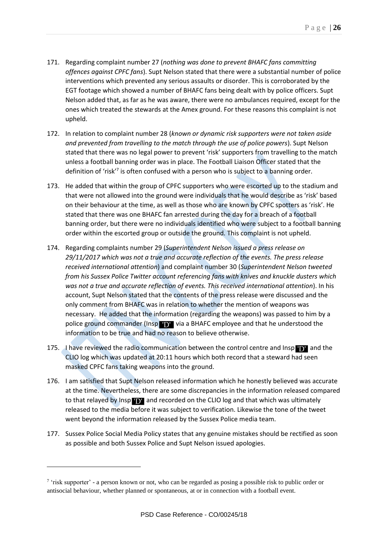- 171. Regarding complaint number 27 (*nothing was done to prevent BHAFC fans committing offences against CPFC fans*). Supt Nelson stated that there were a substantial number of police interventions which prevented any serious assaults or disorder. This is corroborated by the EGT footage which showed a number of BHAFC fans being dealt with by police officers. Supt Nelson added that, as far as he was aware, there were no ambulances required, except for the ones which treated the stewards at the Amex ground. For these reasons this complaint is not upheld.
- 172. In relation to complaint number 28 (*known or dynamic risk supporters were not taken aside and prevented from travelling to the match through the use of police powers*). Supt Nelson stated that there was no legal power to prevent 'risk' supporters from travelling to the match unless a football banning order was in place. The Football Liaison Officer stated that the definition of 'risk'<sup>7</sup> is often confused with a person who is subject to a banning order.
- 173. He added that within the group of CPFC supporters who were escorted up to the stadium and that were not allowed into the ground were individuals that he would describe as 'risk' based on their behaviour at the time, as well as those who are known by CPFC spotters as 'risk'. He stated that there was one BHAFC fan arrested during the day for a breach of a football banning order, but there were no individuals identified who were subject to a football banning order within the escorted group or outside the ground. This complaint is not upheld.
- 174. Regarding complaints number 29 (*Superintendent Nelson issued a press release on 29/11/2017 which was not a true and accurate reflection of the events. The press release received international attention*) and complaint number 30 (*Superintendent Nelson tweeted from his Sussex Police Twitter account referencing fans with knives and knuckle dusters which was not a true and accurate reflection of events. This received international attention*). In his account, Supt Nelson stated that the contents of the press release were discussed and the only comment from BHAFC was in relation to whether the mention of weapons was necessary. He added that the information (regarding the weapons) was passed to him by a police ground commander (Insp **VDV** via a BHAFC employee and that he understood the information to be true and had no reason to believe otherwise.
- 175. I have reviewed the radio communication between the control centre and Insp **TD'** and the CLIO log which was updated at 20:11 hours which both record that a steward had seen masked CPFC fans taking weapons into the ground.
- 176. I am satisfied that Supt Nelson released information which he honestly believed was accurate at the time. Nevertheless, there are some discrepancies in the information released compared to that relayed by Insp **TD'** and recorded on the CLIO log and that which was ultimately released to the media before it was subject to verification. Likewise the tone of the tweet went beyond the information released by the Sussex Police media team.
- 177. Sussex Police Social Media Policy states that any genuine mistakes should be rectified as soon as possible and both Sussex Police and Supt Nelson issued apologies.

1

<sup>&</sup>lt;sup>7</sup> 'risk supporter' - a person known or not, who can be regarded as posing a possible risk to public order or antisocial behaviour, whether planned or spontaneous, at or in connection with a football event.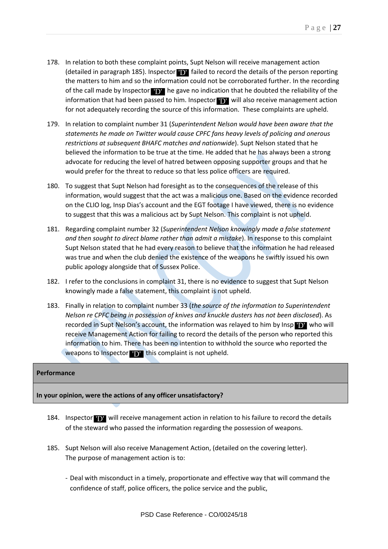- 178. In relation to both these complaint points, Supt Nelson will receive management action (detailed in paragraph 185). Inspector  $\bf{D}$  failed to record the details of the person reporting the matters to him and so the information could not be corroborated further. In the recording of the call made by Inspector  $\mathbf{D}$  he gave no indication that he doubted the reliability of the information that had been passed to him. Inspector **D** will also receive management action for not adequately recording the source of this information. These complaints are upheld.
- 179. In relation to complaint number 31 (*Superintendent Nelson would have been aware that the statements he made on Twitter would cause CPFC fans heavy levels of policing and onerous restrictions at subsequent BHAFC matches and nationwide*). Supt Nelson stated that he believed the information to be true at the time. He added that he has always been a strong advocate for reducing the level of hatred between opposing supporter groups and that he would prefer for the threat to reduce so that less police officers are required.
- 180. To suggest that Supt Nelson had foresight as to the consequences of the release of this information, would suggest that the act was a malicious one. Based on the evidence recorded on the CLIO log, Insp Dias's account and the EGT footage I have viewed, there is no evidence to suggest that this was a malicious act by Supt Nelson. This complaint is not upheld.
- 181. Regarding complaint number 32 (*Superintendent Nelson knowingly made a false statement and then sought to direct blame rather than admit a mistake*). In response to this complaint Supt Nelson stated that he had every reason to believe that the information he had released was true and when the club denied the existence of the weapons he swiftly issued his own public apology alongside that of Sussex Police.
- 182. I refer to the conclusions in complaint 31, there is no evidence to suggest that Supt Nelson knowingly made a false statement, this complaint is not upheld.
- 183. Finally in relation to complaint number 33 (*the source of the information to Superintendent Nelson re CPFC being in possession of knives and knuckle dusters has not been disclosed*). As recorded in Supt Nelson's account, the information was relayed to him by Insp **(D)** who will receive Management Action for failing to record the details of the person who reported this information to him. There has been no intention to withhold the source who reported the weapons to Inspector  $\mathbf{D}$  this complaint is not upheld.

## **Performance**

## **In your opinion, were the actions of any officer unsatisfactory?**

- 184. Inspector **TV** will receive management action in relation to his failure to record the details of the steward who passed the information regarding the possession of weapons.
- 185. Supt Nelson will also receive Management Action, (detailed on the covering letter). The purpose of management action is to:
	- Deal with misconduct in a timely, proportionate and effective way that will command the confidence of staff, police officers, the police service and the public,